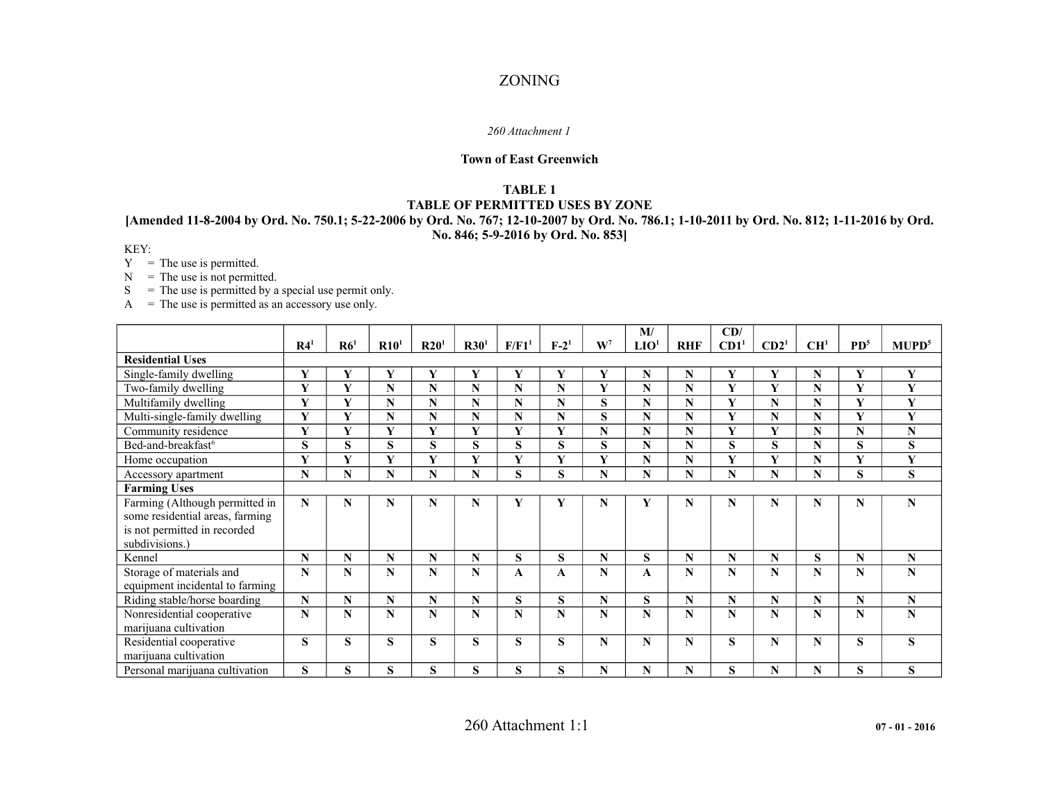## ZONING

#### *260 Attachment 1*

#### **Town of East Greenwich**

#### **TABLE 1 TABLE OF PERMITTED USES BY ZONE [Amended 11-8-2004 by Ord. No. 750.1; 5-22-2006 by Ord. No. 767; 12-10-2007 by Ord. No. 786.1; 1-10-2011 by Ord. No. 812; 1-11-2016 by Ord. No. 846; 5-9-2016 by Ord. No. 853]**

#### KEY:

 $Y =$ The use is permitted.

 $N =$ The use is not permitted.

 $S =$  The use is permitted by a special use permit only.

 $A =$  The use is permitted as an accessory use only.

|                                 |                 |                 |                  |                  |                  |                   |         |             | M/               |            | CD/              |                  |                 |                 |                   |
|---------------------------------|-----------------|-----------------|------------------|------------------|------------------|-------------------|---------|-------------|------------------|------------|------------------|------------------|-----------------|-----------------|-------------------|
|                                 | R4 <sup>1</sup> | R6 <sup>1</sup> | $\mathbf{R}10^1$ | R20 <sup>1</sup> | R30 <sup>1</sup> | F/F1 <sup>1</sup> | $F-2^1$ | $W^7$       | LIO <sup>1</sup> | <b>RHF</b> | CD1 <sup>1</sup> | CD2 <sup>1</sup> | CH <sup>1</sup> | PD <sup>5</sup> | MUPD <sup>5</sup> |
| <b>Residential Uses</b>         |                 |                 |                  |                  |                  |                   |         |             |                  |            |                  |                  |                 |                 |                   |
| Single-family dwelling          | Y               | Y               | Y                | Y                | Y                | Y                 | Y       | Y           | N                | N          | Y                | Y                | N               | Y               | Y                 |
| Two-family dwelling             | Y               | Y               | N                | N                | N                | N                 | N       | Y           | N                | N          | Y                | Y                | N               | Y               | Y                 |
| Multifamily dwelling            | Y               | Y               | N                | N                | N                | $\mathbf N$       | N       | S           | N                | N          | Y                | N                | N               | Y               | Y                 |
| Multi-single-family dwelling    | Y               | Y               | N                | N                | N                | $\mathbf N$       | N       | S           | N                | N          | Y                | N                | N               | Y               | Y                 |
| Community residence             | Y               | Y               | Y                | Y                | Y                | Y                 | Y       | N           | N                | N          | Y                | Y                | N               | N               | $\mathbf{N}$      |
| Bed-and-breakfast <sup>6</sup>  | S               | S               | S                | S                | S                | S                 | S       | S           | N                | N          | S                | S                | N               | S               | S                 |
| Home occupation                 | Y               | Y               | Y                | Y                | Y                | $\mathbf Y$       | Y       | Y           | N                | N          | Y                | Y                | N               | Y               | Y                 |
| Accessory apartment             | $\mathbf N$     | $\mathbf N$     | N                | $\mathbf N$      | N                | S                 | S       | $\mathbf N$ | N                | N          | N                | N                | N               | S               | S                 |
| <b>Farming Uses</b>             |                 |                 |                  |                  |                  |                   |         |             |                  |            |                  |                  |                 |                 |                   |
| Farming (Although permitted in  | N               | $\mathbf N$     | N                | N                | N                | Y                 | Y       | N           | Y                | N          | N                | N                | N               | N               | $\mathbf N$       |
| some residential areas, farming |                 |                 |                  |                  |                  |                   |         |             |                  |            |                  |                  |                 |                 |                   |
| is not permitted in recorded    |                 |                 |                  |                  |                  |                   |         |             |                  |            |                  |                  |                 |                 |                   |
| subdivisions.)                  |                 |                 |                  |                  |                  |                   |         |             |                  |            |                  |                  |                 |                 |                   |
| Kennel                          | N               | N               | N                | N                | N                | S                 | S       | N           | S                | N          | N                | N                | S               | N               | N                 |
| Storage of materials and        | N               | N               | N                | N                | N                | A                 | A       | N           | A                | N          | N                | N                | N               | N               | N                 |
| equipment incidental to farming |                 |                 |                  |                  |                  |                   |         |             |                  |            |                  |                  |                 |                 |                   |
| Riding stable/horse boarding    | N               | N               | N                | N                | N                | S                 | S       | N           | S                | N          | N                | N                | N               | N               | N                 |
| Nonresidential cooperative      | N               | N               | N                | N                | N                | $\mathbf N$       | N       | N           | N                | N          | N                | N                | N               | N               | N                 |
| marijuana cultivation           |                 |                 |                  |                  |                  |                   |         |             |                  |            |                  |                  |                 |                 |                   |
| Residential cooperative         | S               | S               | S                | S                | S                | S                 | S       | N           | N                | N          | S                | N                | N               | S               | S                 |
| marijuana cultivation           |                 |                 |                  |                  |                  |                   |         |             |                  |            |                  |                  |                 |                 |                   |
| Personal marijuana cultivation  | S               | S               | S                | S                | S                | S                 | S       | N           | N                | N          | S                | N                | N               | S               | S                 |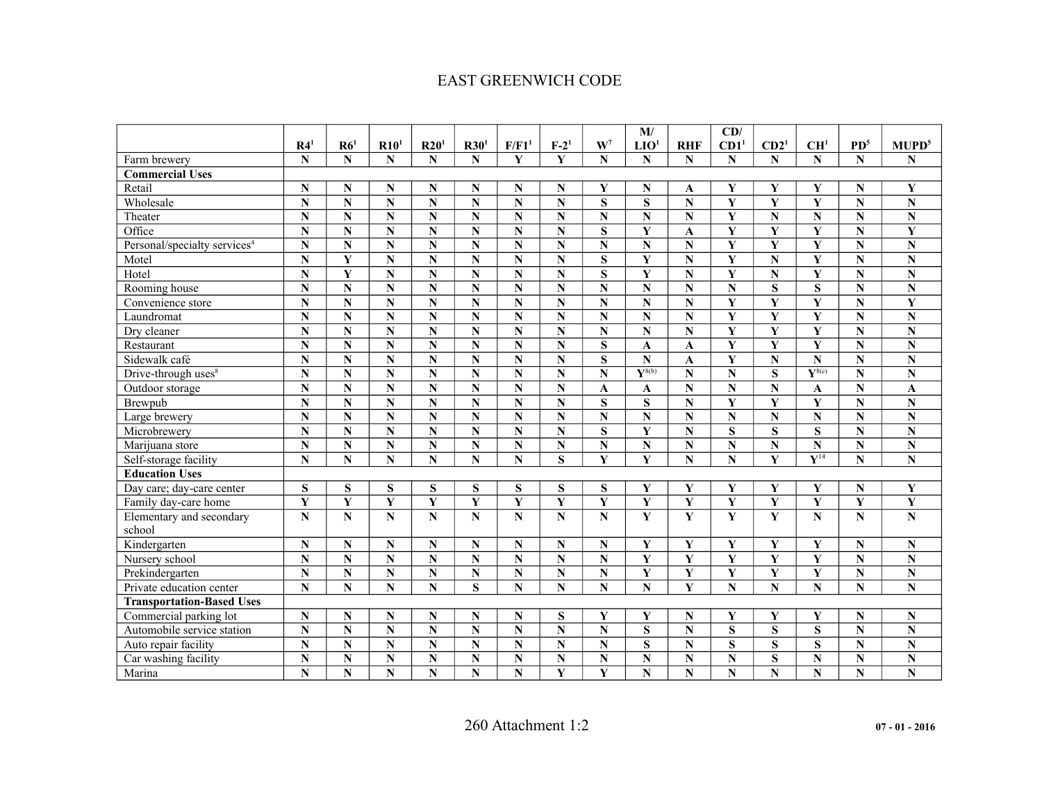## EAST GREENWICH CODE

|                                          |                         |                         |                         |                         |                         |                         |                         |                         | M/                         |                         | CD/                     |                         |                              |                         |                         |
|------------------------------------------|-------------------------|-------------------------|-------------------------|-------------------------|-------------------------|-------------------------|-------------------------|-------------------------|----------------------------|-------------------------|-------------------------|-------------------------|------------------------------|-------------------------|-------------------------|
|                                          | R4 <sup>1</sup>         | R6 <sup>1</sup>         | R10 <sup>1</sup>        | R20 <sup>1</sup>        | R30 <sup>1</sup>        | F/F1 <sup>1</sup>       | $F-2^1$                 | $W^7$                   | LIO <sup>1</sup>           | <b>RHF</b>              | CD1 <sup>1</sup>        | CD2 <sup>1</sup>        | CH <sup>1</sup>              | PD <sup>5</sup>         | MUPD <sup>5</sup>       |
| Farm brewery                             | N                       | $\mathbf N$             | $\mathbf N$             | N                       | $\mathbf N$             | Y                       | Y                       | $\overline{\mathbf{N}}$ | N                          | N                       | N                       | $\mathbf N$             | $\mathbf N$                  | N                       | $\mathbf N$             |
| <b>Commercial Uses</b>                   |                         |                         |                         |                         |                         |                         |                         |                         |                            |                         |                         |                         |                              |                         |                         |
| Retail                                   | N                       | $\mathbf N$             | $\mathbf N$             | $\mathbf N$             | ${\bf N}$               | $\overline{\bf N}$      | $\overline{\bf N}$      | $\mathbf Y$             | N                          | A                       | Y                       | Y                       | Y                            | $\mathbf N$             | $\overline{\mathbf{Y}}$ |
| Wholesale                                | N                       | ${\bf N}$               | ${\bf N}$               | $\overline{\bf N}$      | $\overline{\mathbf{N}}$ | $\overline{\bf N}$      | $\overline{\bf N}$      | $\overline{\mathbf{s}}$ | ${\bf S}$                  | $\overline{\mathbf{N}}$ | Y                       | $\overline{\mathbf{Y}}$ | Y                            | $\mathbf N$             | $\overline{\bf N}$      |
| Theater                                  | N                       | ${\bf N}$               | ${\bf N}$               | $\overline{\bf N}$      | $\overline{\bf N}$      | $\overline{\bf N}$      | $\overline{\bf N}$      | $\overline{\bf N}$      | $\overline{\mathbf{N}}$    | $\overline{\bf N}$      | $\overline{\mathbf{Y}}$ | ${\bf N}$               | ${\bf N}$                    | $\overline{\bf N}$      | $\overline{\mathbf{N}}$ |
| Office                                   | $\overline{\bf N}$      | $\overline{\mathbf{N}}$ | $\overline{\mathbf{N}}$ | $\overline{\mathbf{N}}$ | $\overline{\mathbf{N}}$ | $\overline{\bf N}$      | $\overline{\mathbf{N}}$ | $\overline{\mathbf{s}}$ | $\overline{\mathbf{Y}}$    | $\mathbf{A}$            | Y                       | $\overline{\mathbf{Y}}$ | Y                            | ${\bf N}$               | $\overline{\mathbf{Y}}$ |
| Personal/specialty services <sup>4</sup> | N                       | ${\bf N}$               | ${\bf N}$               | $\mathbf N$             | ${\bf N}$               | $\mathbf N$             | $\overline{\textbf{N}}$ | N                       | $\mathbf N$                | $\mathbf N$             | Y                       | Y                       | Y                            | $\mathbf N$             | $\overline{\textbf{N}}$ |
| Motel                                    | $\overline{\mathbf{N}}$ | $\mathbf Y$             | $\overline{\mathbf{N}}$ | $\overline{\mathbf{N}}$ | $\overline{\mathbf{N}}$ | $\overline{\bf N}$      | $\overline{\mathbf{N}}$ | $\overline{\mathbf{s}}$ | $\overline{\mathbf{Y}}$    | ${\bf N}$               | Y                       | ${\bf N}$               | $\mathbf Y$                  | $\overline{\mathbf{N}}$ | $\overline{\mathbf{N}}$ |
| Hotel                                    | ${\bf N}$               | $\overline{\mathbf{Y}}$ | ${\bf N}$               | $\overline{\bf N}$      | $\overline{\bf N}$      | $\overline{\bf N}$      | $\overline{\bf N}$      | $\overline{\mathbf{s}}$ | $\overline{\mathbf{Y}}$    | ${\bf N}$               | Y                       | $\overline{\bf N}$      | Y                            | $\overline{\bf N}$      | $\overline{\bf N}$      |
| Rooming house                            | $\overline{\bf N}$      | $\mathbf N$             | $\overline{\mathbf{N}}$ | $\overline{\mathbf{N}}$ | $\overline{\bf N}$      | $\overline{\bf N}$      | $\overline{\bf N}$      | $\overline{\bf N}$      | $\overline{\mathbf{N}}$    | $\overline{\bf N}$      | N                       | S                       | S                            | $\overline{\bf N}$      | $\overline{\mathbf{N}}$ |
| Convenience store                        | ${\bf N}$               | $\mathbf N$             | $\mathbf N$             | $\mathbf N$             | ${\bf N}$               | $\mathbf N$             | $\mathbf N$             | ${\bf N}$               | N                          | $\mathbf N$             | Y                       | Y                       | Y                            | $\mathbf N$             | Y                       |
| Laundromat                               | ${\bf N}$               | ${\bf N}$               | ${\bf N}$               | $\overline{\bf N}$      | $\overline{\bf N}$      | $\mathbf N$             | ${\bf N}$               | $\overline{\bf N}$      | N                          | $\overline{\bf N}$      | $\overline{\mathbf{Y}}$ | $\overline{\mathbf{Y}}$ | $\mathbf Y$                  | ${\bf N}$               | ${\bf N}$               |
| Dry cleaner                              | N                       | ${\bf N}$               | ${\bf N}$               | $\overline{\bf N}$      | $\overline{\bf N}$      | $\overline{\bf N}$      | $\mathbf N$             | $\overline{\mathbf{N}}$ | $\overline{\mathbf{N}}$    | ${\bf N}$               | $\overline{\mathbf{Y}}$ | $\overline{\mathbf{Y}}$ | $\mathbf Y$                  | $\overline{\bf N}$      | $\overline{\bf N}$      |
| Restaurant                               | $\overline{\mathbf{N}}$ | $\overline{\mathbf{N}}$ | $\overline{\bf N}$      | $\overline{\bf N}$      | $\overline{\bf N}$      | $\overline{\bf N}$      | $\overline{\bf N}$      | $\overline{s}$          | $\mathbf{A}$               | $\mathbf{A}$            | $\overline{\mathbf{Y}}$ | $\overline{\mathbf{Y}}$ | Y                            | $\overline{\mathbf{N}}$ | $\overline{\bf N}$      |
| Sidewalk café                            | $\overline{\mathbf{N}}$ | $\overline{\mathbf{N}}$ | $\overline{\mathbf{N}}$ | $\overline{\mathbf{N}}$ | $\overline{\mathbf{N}}$ | $\overline{\mathbf{N}}$ | $\overline{\bf N}$      | $\overline{\mathbf{s}}$ | $\overline{\mathbf{N}}$    | $\mathbf{A}$            | Y                       | $\overline{\bf N}$      | $\mathbf N$                  | $\overline{\bf N}$      | $\overline{\mathbf{N}}$ |
| Drive-through uses <sup>8</sup>          | N                       | $\mathbf N$             | $\mathbf N$             | $\mathbf N$             | ${\bf N}$               | $\mathbf N$             | $\overline{\bf N}$      | $\mathbf N$             | $\mathbf{V}^{\text{8(b)}}$ | $\mathbf N$             | N                       | $\mathbf{s}$            | $\mathbf{V}^{8(c)}$          | $\mathbf N$             | ${\bf N}$               |
| Outdoor storage                          | ${\bf N}$               | ${\bf N}$               | ${\bf N}$               | $\mathbf N$             | $\overline{\mathbf{N}}$ | $\mathbf N$             | $\overline{\bf N}$      | A                       | A                          | ${\bf N}$               | N                       | $\overline{\bf N}$      | $\mathbf{A}$                 | $\mathbf N$             | A                       |
| Brewpub                                  | N                       | ${\bf N}$               | ${\bf N}$               | $\overline{\bf N}$      | $\overline{\mathbf{N}}$ | $\mathbf N$             | $\overline{\bf N}$      | $\bf S$                 | $\overline{\mathbf{s}}$    | $\overline{\bf N}$      | Y                       | $\overline{\mathbf{Y}}$ | Y                            | $\overline{\bf N}$      | $\overline{\mathbf{N}}$ |
| Large brewery                            | ${\bf N}$               | ${\bf N}$               | ${\bf N}$               | $\mathbf N$             | $\overline{\mathbf{N}}$ | $\mathbf N$             | ${\bf N}$               | $\overline{\bf N}$      | $\overline{\bf N}$         | $\overline{\mathbf{N}}$ | $\mathbf N$             | ${\bf N}$               | $\mathbf N$                  | $\mathbf N$             | $\overline{\mathbf{N}}$ |
| Microbrewery                             | $\overline{\mathbf{N}}$ | ${\bf N}$               | ${\bf N}$               | $\overline{\bf N}$      | $\overline{\mathbf{N}}$ | $\mathbf N$             | ${\bf N}$               | $\overline{\mathbf{s}}$ | $\overline{\mathbf{Y}}$    | ${\bf N}$               | $\overline{\mathbf{s}}$ | S                       | S                            | $\mathbf N$             | $\overline{\mathbf{N}}$ |
| Marijuana store                          | N                       | $\mathbf N$             | $\mathbf N$             | $\mathbf N$             | ${\bf N}$               | $\mathbf N$             | $\mathbf N$             | $\overline{\mathbf{N}}$ | N                          | ${\bf N}$               | N                       | N                       | $\mathbf N$                  | $\mathbf N$             | $\overline{\mathbf{N}}$ |
| Self-storage facility                    | ${\bf N}$               | $\mathbf N$             | ${\bf N}$               | $\mathbf N$             | ${\bf N}$               | $\overline{\bf N}$      | $\overline{\mathbf{s}}$ | $\mathbf Y$             | Y                          | ${\bf N}$               | N                       | Y                       | $\overline{\mathbf{Y}^{14}}$ | $\mathbf N$             | $\overline{\bf N}$      |
| <b>Education Uses</b>                    |                         |                         |                         |                         |                         |                         |                         |                         |                            |                         |                         |                         |                              |                         |                         |
| Day care; day-care center                | S                       | ${\bf S}$               | S                       | $\overline{\mathbf{s}}$ | $\overline{\mathbf{s}}$ | $\overline{\mathbf{s}}$ | $\overline{\mathbf{S}}$ | $\overline{\mathbf{s}}$ | $\overline{\mathbf{Y}}$    | $\overline{\mathbf{Y}}$ | Y                       | $\mathbf Y$             | Y                            | N                       | $\overline{\mathbf{Y}}$ |
| Family day-care home                     | $\mathbf{Y}$            | $\mathbf{Y}$            | Y                       | $\overline{\mathbf{Y}}$ | $\overline{\mathbf{Y}}$ | $\overline{\mathbf{Y}}$ | $\overline{\mathbf{Y}}$ | $\overline{\mathbf{Y}}$ | $\overline{\mathbf{Y}}$    | $\overline{\mathbf{Y}}$ | $\overline{\mathbf{Y}}$ | $\overline{\mathbf{Y}}$ | $\overline{\mathbf{Y}}$      | $\overline{\mathbf{Y}}$ | $\overline{\mathbf{Y}}$ |
| Elementary and secondary                 | $\mathbf N$             | N                       | $\mathbf N$             | $\overline{\bf N}$      | $\overline{\mathbf{N}}$ | $\mathbf N$             | $\overline{\bf N}$      | $\overline{\bf N}$      | $\overline{\mathbf{Y}}$    | $\overline{\mathbf{Y}}$ | $\overline{\mathbf{Y}}$ | Y                       | $\mathbf N$                  | $\mathbf N$             | $\overline{\mathbf{N}}$ |
| school                                   |                         |                         |                         |                         |                         |                         |                         |                         |                            |                         |                         |                         |                              |                         |                         |
| Kindergarten                             | N                       | $\mathbf N$             | ${\bf N}$               | $\overline{\bf N}$      | ${\bf N}$               | $\overline{\bf N}$      | $\overline{\bf N}$      | $\overline{\bf N}$      | $\overline{\mathbf{Y}}$    | $\overline{\mathbf{Y}}$ | Y                       | $\mathbf Y$             | Y                            | ${\bf N}$               | $\overline{\bf N}$      |
| Nursery school                           | $\overline{\bf N}$      | $\overline{\mathbf{N}}$ | $\mathbf N$             | $\overline{\mathbf{N}}$ | $\overline{\bf N}$      | $\overline{\bf N}$      | $\overline{\mathbf{N}}$ | $\overline{\mathbf{N}}$ | $\overline{\mathbf{Y}}$    | $\overline{\mathbf{Y}}$ | Y                       | $\overline{\mathbf{Y}}$ | Y                            | $\overline{\bf N}$      | $\overline{\mathbf{N}}$ |
| Prekindergarten                          | $\overline{\bf N}$      | $\mathbf N$             | ${\bf N}$               | ${\bf N}$               | $\overline{\mathbf{N}}$ | $\overline{\bf N}$      | ${\bf N}$               | $\mathbf N$             | Y                          | $\overline{\mathbf{Y}}$ | $\mathbf Y$             | $\mathbf Y$             | Y                            | $\mathbf N$             | ${\bf N}$               |
| Private education center                 | $\overline{\mathbf{N}}$ | ${\bf N}$               | ${\bf N}$               | $\overline{\mathbf{N}}$ | $\overline{\mathbf{s}}$ | $\overline{\bf N}$      | ${\bf N}$               | $\overline{\mathbf{N}}$ | $\overline{\mathbf{N}}$    | $\mathbf Y$             | $\mathbf N$             | $\overline{\bf N}$      | ${\bf N}$                    | ${\bf N}$               | $\mathbf N$             |
| <b>Transportation-Based Uses</b>         |                         |                         |                         |                         |                         |                         |                         |                         |                            |                         |                         |                         |                              |                         |                         |
| Commercial parking lot                   | ${\bf N}$               | $\mathbf N$             | $\mathbf N$             | $\mathbf N$             | ${\bf N}$               | $\overline{\bf N}$      | $\overline{\mathbf{S}}$ | Y                       | Y                          | $\mathbf N$             | Y                       | Y                       | Y                            | $\mathbf N$             | ${\bf N}$               |
| Automobile service station               | N                       | $\mathbf N$             | $\mathbf N$             | $\overline{\bf N}$      | $\overline{\mathbf{N}}$ | $\overline{\bf N}$      | $\overline{\bf N}$      | $\overline{\bf N}$      | $\overline{\mathbf{s}}$    | N                       | S                       | S                       | S                            | $\overline{\bf N}$      | ${\bf N}$               |
| Auto repair facility                     | ${\bf N}$               | $\mathbf N$             | $\mathbf N$             | $\mathbf N$             | ${\bf N}$               | $\mathbf N$             | $\mathbf N$             | $\mathbf N$             | $\overline{\mathbf{s}}$    | $\mathbf N$             | S                       | S                       | $\mathbf S$                  | $\mathbf N$             | $\mathbf N$             |
| Car washing facility                     | N                       | $\overline{\bf N}$      | ${\bf N}$               | $\overline{\bf N}$      | $\overline{\bf N}$      | $\overline{\bf N}$      | $\overline{\bf N}$      | $\overline{\bf N}$      | $\overline{\bf N}$         | $\mathbf N$             | $\overline{\bf N}$      | S                       | ${\bf N}$                    | $\overline{\bf N}$      | $\overline{\bf N}$      |
| Marina                                   | N                       | $\mathbf N$             | N                       | N                       | ${\bf N}$               | N                       | Y                       | Y                       | N                          | N                       | N                       | N                       | $\mathbf N$                  | $\mathbf N$             | $\mathbf N$             |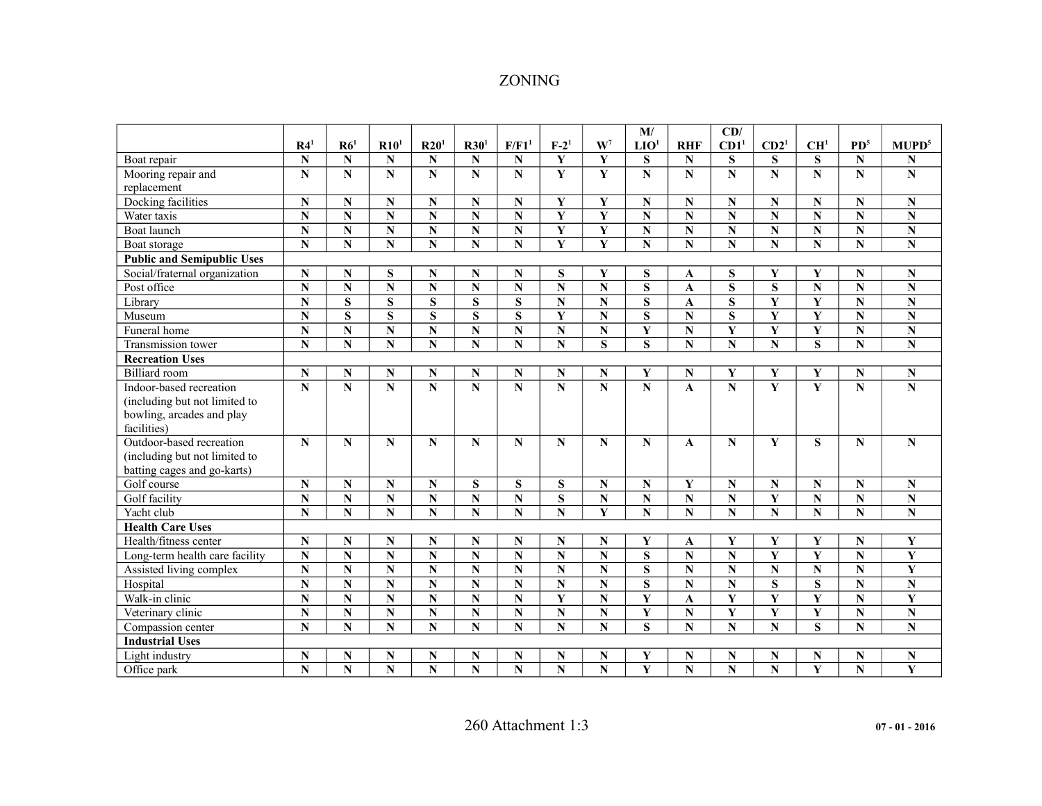# ZONING

|                                   |                         |                         |                         |                         |                         |                         |                         |                         | M/                      |                         | CD/                     |                         |                         |                    |                         |
|-----------------------------------|-------------------------|-------------------------|-------------------------|-------------------------|-------------------------|-------------------------|-------------------------|-------------------------|-------------------------|-------------------------|-------------------------|-------------------------|-------------------------|--------------------|-------------------------|
|                                   | R4 <sup>1</sup>         | R6 <sup>1</sup>         | $\mathbf{R}10^1$        | R20 <sup>1</sup>        | R30 <sup>1</sup>        | F/F1 <sup>1</sup>       | $F-2^1$                 | $\mathbf{W}^7$          | LIO <sup>1</sup>        | <b>RHF</b>              | CD1 <sup>1</sup>        | CD2 <sup>1</sup>        | CH <sup>1</sup>         | PD <sup>5</sup>    | MUPD <sup>5</sup>       |
| Boat repair                       | $\overline{\mathbf{N}}$ | $\mathbf N$             | ${\bf N}$               | $\overline{\mathbf{N}}$ | $\overline{\mathbf{N}}$ | $\overline{\mathbf{N}}$ | $\overline{\mathbf{Y}}$ | $\overline{\mathbf{Y}}$ | S                       | $\mathbf N$             | $\overline{s}$          | $\overline{\mathbf{s}}$ | $\overline{s}$          | N                  | $\mathbf N$             |
| Mooring repair and                | $\mathbf N$             | $\mathbf N$             | ${\bf N}$               | ${\bf N}$               | $\mathbf N$             | $\overline{\bf N}$      | $\overline{\mathbf{Y}}$ | $\overline{\mathbf{Y}}$ | $\mathbf N$             | $\mathbf N$             | ${\bf N}$               | $\mathbf N$             | $\mathbf N$             | N                  | ${\bf N}$               |
| replacement                       |                         |                         |                         |                         |                         |                         |                         |                         |                         |                         |                         |                         |                         |                    |                         |
| Docking facilities                | ${\bf N}$               | ${\bf N}$               | $\overline{\mathbf{N}}$ | $\overline{\mathbf{N}}$ | $\overline{\mathbf{N}}$ | $\overline{\bf N}$      | $\mathbf Y$             | $\overline{\mathbf{Y}}$ | ${\bf N}$               | $\overline{\mathbf{N}}$ | $\overline{\mathbf{N}}$ | $\mathbf N$             | $\mathbf N$             | $\mathbf N$        | ${\bf N}$               |
| Water taxis                       | ${\bf N}$               | $\overline{\bf N}$      | ${\bf N}$               | $\overline{\mathbf{N}}$ | $\mathbf N$             | $\overline{\bf N}$      | $\overline{\mathbf{Y}}$ | $\overline{\mathbf{Y}}$ | ${\bf N}$               | ${\bf N}$               | ${\bf N}$               | ${\bf N}$               | ${\bf N}$               | N                  | ${\bf N}$               |
| Boat launch                       | ${\bf N}$               | ${\bf N}$               | $\overline{\bf N}$      | $\overline{\bf N}$      | $\overline{\bf N}$      | ${\bf N}$               | Y                       | $\mathbf Y$             | $\mathbf N$             | $\overline{\bf N}$      | $\overline{\bf N}$      | $\overline{\bf N}$      | $\mathbf N$             | $\overline{\bf N}$ | $\overline{\textbf{N}}$ |
| Boat storage                      | ${\bf N}$               | ${\bf N}$               | ${\bf N}$               | ${\bf N}$               | $\overline{\bf N}$      | $\overline{\bf N}$      | $\overline{\mathbf{Y}}$ | $\overline{\mathbf{Y}}$ | $\mathbf N$             | ${\bf N}$               | ${\bf N}$               | ${\bf N}$               | $\mathbf N$             | N                  | $\overline{\bf N}$      |
| <b>Public and Semipublic Uses</b> |                         |                         |                         |                         |                         |                         |                         |                         |                         |                         |                         |                         |                         |                    |                         |
| Social/fraternal organization     | $\mathbf N$             | $\mathbf N$             | S                       | $\mathbf N$             | ${\bf N}$               | ${\bf N}$               | ${\bf S}$               | $\mathbf Y$             | ${\bf S}$               | A                       | ${\bf S}$               | Y                       | Y                       | N                  | ${\bf N}$               |
| Post office                       | N                       | $\mathbf N$             | N                       | $\overline{\bf N}$      | $\overline{\bf N}$      | ${\bf N}$               | $\overline{\mathbf{N}}$ | $\overline{\mathbf{N}}$ | $\overline{\mathbf{s}}$ | A                       | S                       | S                       | $\mathbf N$             | N                  | ${\bf N}$               |
| Library                           | $\mathbf N$             | S                       | S                       | S                       | S                       | S                       | $\mathbf N$             | $\mathbf N$             | S                       | $\mathbf{A}$            | S                       | Y                       | Y                       | N                  | $\mathbf N$             |
| Museum                            | ${\bf N}$               | S                       | $\overline{s}$          | $\overline{s}$          | $\overline{\mathbf{s}}$ | $\overline{s}$          | $\overline{\mathbf{Y}}$ | $\overline{\bf N}$      | S                       | ${\bf N}$               | $\overline{\mathbf{s}}$ | $\overline{\mathbf{Y}}$ | Y                       | N                  | ${\bf N}$               |
| Funeral home                      | ${\bf N}$               | $\mathbf N$             | $\overline{\bf N}$      | $\overline{\mathbf{N}}$ | $\overline{\bf N}$      | $\overline{\mathbf{N}}$ | N                       | ${\bf N}$               | Y                       | ${\bf N}$               | Y                       | Y                       | Y                       | N                  | $\overline{\bf N}$      |
| <b>Transmission tower</b>         | $\overline{\mathbf{N}}$ | ${\bf N}$               | $\overline{\bf N}$      | $\overline{\mathbf{N}}$ | N                       | ${\bf N}$               | $\overline{\mathbf{N}}$ | $\overline{\mathbf{s}}$ | $\overline{\mathbf{s}}$ | ${\bf N}$               | ${\bf N}$               | ${\bf N}$               | S                       | N                  | ${\bf N}$               |
| <b>Recreation Uses</b>            |                         |                         |                         |                         |                         |                         |                         |                         |                         |                         |                         |                         |                         |                    |                         |
| <b>Billiard</b> room              | $\mathbf N$             | $\mathbf N$             | N                       | N                       | $\mathbf N$             | ${\bf N}$               | N                       | $\mathbf N$             | Y                       | N                       | Y                       | Y                       | Y                       | N                  | $\mathbf N$             |
| Indoor-based recreation           | N                       | ${\bf N}$               | $\overline{\bf N}$      | $\mathbf N$             | $\overline{\bf N}$      | ${\bf N}$               | $\overline{\bf N}$      | $\mathbf N$             | $\mathbf N$             | $\mathbf{A}$            | ${\bf N}$               | $\overline{\mathbf{Y}}$ | $\overline{\mathbf{Y}}$ | N                  | ${\bf N}$               |
| (including but not limited to     |                         |                         |                         |                         |                         |                         |                         |                         |                         |                         |                         |                         |                         |                    |                         |
| bowling, arcades and play         |                         |                         |                         |                         |                         |                         |                         |                         |                         |                         |                         |                         |                         |                    |                         |
| facilities)                       |                         |                         |                         |                         |                         |                         |                         |                         |                         |                         |                         |                         |                         |                    |                         |
| Outdoor-based recreation          | $\mathbf N$             | $\mathbf N$             | N                       | $\mathbf N$             | $\mathbf N$             | $\overline{\bf N}$      | ${\bf N}$               | $\overline{\bf N}$      | $\mathbf N$             | $\mathbf{A}$            | $\mathbf N$             | Y                       | S                       | N                  | ${\bf N}$               |
| (including but not limited to     |                         |                         |                         |                         |                         |                         |                         |                         |                         |                         |                         |                         |                         |                    |                         |
| batting cages and go-karts)       |                         |                         |                         |                         |                         |                         |                         |                         |                         |                         |                         |                         |                         |                    |                         |
| Golf course                       | N                       | $\mathbf N$             | N                       | $\overline{\mathbf{N}}$ | $\overline{\mathbf{S}}$ | $\overline{s}$          | $\overline{\mathbf{S}}$ | $\overline{\bf N}$      | $\mathbf N$             | $\mathbf Y$             | $\overline{\mathbf{N}}$ | $\mathbf N$             | $\mathbf N$             | $\mathbf N$        | ${\bf N}$               |
| Golf facility                     | N                       | $\mathbf N$             | N                       | $\overline{\mathbf{N}}$ | $\overline{\bf N}$      | ${\bf N}$               | ${\bf S}$               | $\overline{\bf N}$      | $\mathbf N$             | $\overline{\bf N}$      | ${\bf N}$               | Y                       | $\mathbf N$             | N                  | ${\bf N}$               |
| Yacht club                        | $\mathbf N$             | $\mathbf N$             | $\mathbf N$             | $\overline{\mathbf{N}}$ | $\mathbf N$             | $\overline{\mathbf{N}}$ | N                       | Y                       | $\mathbf N$             | $\mathbf N$             | $\mathbf N$             | $\mathbf N$             | $\mathbf N$             | N                  | $\mathbf N$             |
| <b>Health Care Uses</b>           |                         |                         |                         |                         |                         |                         |                         |                         |                         |                         |                         |                         |                         |                    |                         |
| Health/fitness center             | $\mathbf N$             | $\mathbf N$             | $\mathbf N$             | ${\bf N}$               | ${\bf N}$               | ${\bf N}$               | N                       | N                       | Y                       | $\mathbf A$             | Y                       | Y                       | Y                       | N                  | Y                       |
| Long-term health care facility    | $\overline{\mathbf{N}}$ | $\overline{\mathbf{N}}$ | $\overline{\mathbf{N}}$ | $\overline{\mathbf{N}}$ | $\overline{\bf N}$      | $\overline{\mathbf{N}}$ | $\overline{\mathbf{N}}$ | $\overline{\mathbf{N}}$ | $\overline{\mathbf{s}}$ | ${\bf N}$               | $\overline{\mathbf{N}}$ | $\overline{\mathbf{Y}}$ | $\overline{\mathbf{Y}}$ | $\overline{\bf N}$ | $\overline{\mathbf{Y}}$ |
| Assisted living complex           | $\overline{\bf N}$      | ${\bf N}$               | $\overline{\bf N}$      | $\overline{\mathbf{N}}$ | $\overline{\bf N}$      | $\overline{\mathbf{N}}$ | $\overline{\mathbf{N}}$ | $\overline{\mathbf{N}}$ | $\overline{\mathbf{s}}$ | ${\bf N}$               | ${\bf N}$               | $\overline{\bf N}$      | ${\bf N}$               | N                  | $\overline{\mathbf{Y}}$ |
| Hospital                          | N                       | $\mathbf N$             | $\mathbf N$             | $\overline{\bf N}$      | $\overline{\bf N}$      | $\overline{\bf N}$      | $\overline{\bf N}$      | $\overline{\bf N}$      | S                       | ${\bf N}$               | ${\bf N}$               | S                       | S                       | N                  | ${\bf N}$               |
| Walk-in clinic                    | ${\bf N}$               | $\mathbf N$             | $\mathbf N$             | $\overline{\bf N}$      | $\overline{\bf N}$      | $\overline{\bf N}$      | $\mathbf Y$             | $\overline{\bf N}$      | $\overline{\mathbf{Y}}$ | A                       | Y                       | Y                       | Y                       | N                  | $\overline{\mathbf{Y}}$ |
| Veterinary clinic                 | $\overline{\mathbf{N}}$ | $\overline{\mathbf{N}}$ | $\overline{\bf N}$      | $\overline{\mathbf{N}}$ | $\overline{\bf N}$      | $\overline{\bf N}$      | $\overline{\mathbf{N}}$ | $\overline{\bf N}$      | $\overline{\mathbf{Y}}$ | $\overline{\bf N}$      | $\overline{\mathbf{Y}}$ | $\overline{\mathbf{Y}}$ | $\overline{\mathbf{Y}}$ | N                  | $\overline{\mathbf{N}}$ |
| Compassion center                 | $\mathbf N$             | ${\bf N}$               | $\overline{\bf N}$      | $\mathbf N$             | $\overline{\bf N}$      | $\overline{\bf N}$      | N                       | $\overline{\bf N}$      | S                       | $\mathbf N$             | ${\bf N}$               | ${\bf N}$               | S                       | N                  | $\mathbf N$             |
| <b>Industrial Uses</b>            |                         |                         |                         |                         |                         |                         |                         |                         |                         |                         |                         |                         |                         |                    |                         |
| Light industry                    | N                       | N                       | N                       | $\mathbf N$             | N                       | ${\bf N}$               | N                       | N                       | Y                       | N                       | N                       | N                       | N                       | N                  | ${\bf N}$               |
| Office park                       | $\mathbf N$             | $\mathbf N$             | $\overline{\bf N}$      | $\mathbf N$             | $\mathbf N$             | $\mathbf N$             | N                       | $\mathbf N$             | Y                       | $\mathbf N$             | $\mathbf N$             | $\mathbf N$             | Y                       | N                  | Y                       |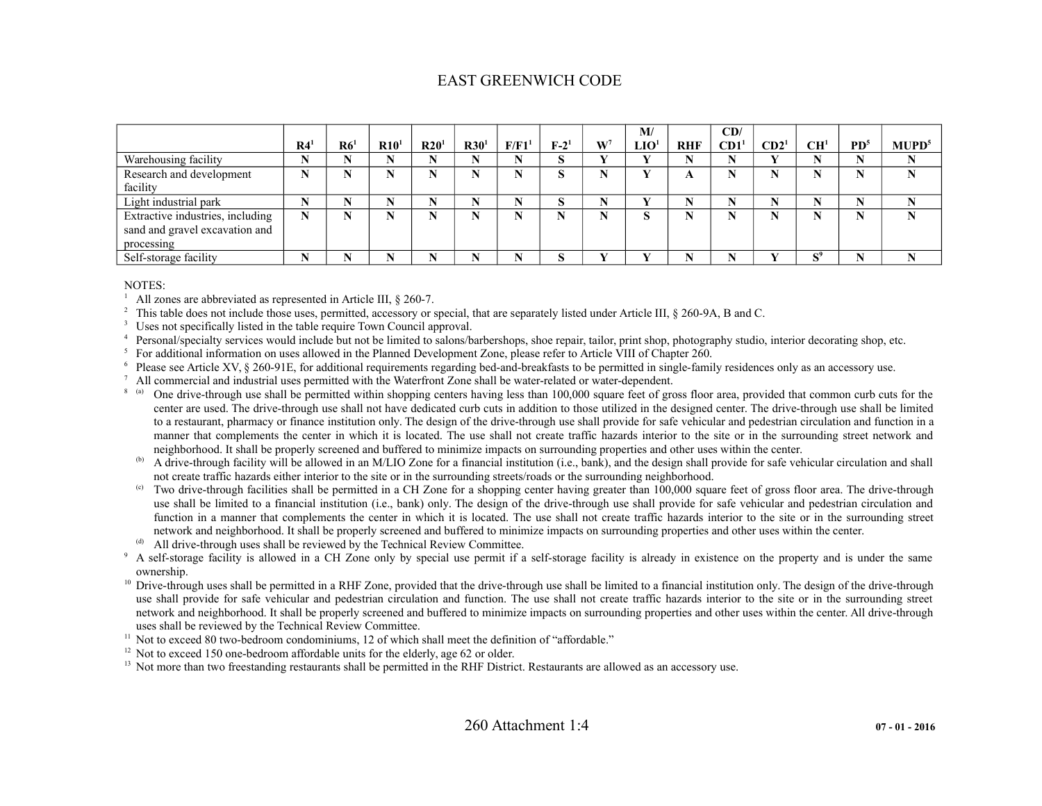## EAST GREENWICH CODE

|                                                                                  | R4 | R6 | R10 <sup>1</sup> | R20 <sup>1</sup> | R30 <sup>1</sup> | F/F1 <sup>1</sup> | $F-2^1$     | W            | M/<br>LIO <sup>1</sup> | <b>RHF</b>     | CD/<br>CD1 <sup>1</sup> | CD2 <sup>1</sup> | CH <sup>1</sup> | PD <sup>5</sup> | <b>MUPD</b> <sup>5</sup> |
|----------------------------------------------------------------------------------|----|----|------------------|------------------|------------------|-------------------|-------------|--------------|------------------------|----------------|-------------------------|------------------|-----------------|-----------------|--------------------------|
| Warehousing facility                                                             |    |    |                  | N                | N                | N                 | $\sim$<br>D | $\mathbf{v}$ |                        |                |                         |                  |                 |                 |                          |
| Research and development<br>facility                                             |    |    |                  | N                | N                | N                 | G<br>D.     | N            |                        | $\overline{ }$ |                         |                  |                 |                 |                          |
| Light industrial park                                                            |    |    |                  | N                | N                | N                 | $\sim$<br>⊃ |              |                        |                | N                       |                  |                 |                 |                          |
| Extractive industries, including<br>sand and gravel excavation and<br>processing |    |    |                  | N                | N                | N                 | N           |              |                        |                |                         |                  |                 |                 |                          |
| Self-storage facility                                                            |    |    |                  |                  |                  |                   | $\sim$      |              |                        |                |                         |                  | $\sim$          |                 |                          |

NOTES:

<sup>1</sup> All zones are abbreviated as represented in Article III,  $\S$  260-7.

<sup>2</sup> This table does not include those uses, permitted, accessory or special, that are separately listed under Article III, § 260-9A, B and C.

<sup>3</sup> Uses not specifically listed in the table require Town Council approval.<br><sup>4</sup> Personal/specialty services would include but not be limited to salons/b

Personal/specialty services would include but not be limited to salons/barbershops, shoe repair, tailor, print shop, photography studio, interior decorating shop, etc.

<sup>5</sup> For additional information on uses allowed in the Planned Development Zone, please refer to Article VIII of Chapter 260.

<sup>6</sup> Please see Article XV, § 260-91E, for additional requirements regarding bed-and-breakfasts to be permitted in single-family residences only as an accessory use.

<sup>7</sup> All commercial and industrial uses permitted with the Waterfront Zone shall be water-related or water-dependent.

- One drive-through use shall be permitted within shopping centers having less than 100,000 square feet of gross floor area, provided that common curb cuts for the center are used. The drive-through use shall not have dedicated curb cuts in addition to those utilized in the designed center. The drive-through use shall be limited to a restaurant, pharmacy or finance institution only. The design of the drive-through use shall provide for safe vehicular and pedestrian circulation and function in a manner that complements the center in which it is located. The use shall not create traffic hazards interior to the site or in the surrounding street network and neighborhood. It shall be properly screened and buffered to minimize impacts on surrounding properties and other uses within the center.
- (b) A drive-through facility will be allowed in an M/LIO Zone for a financial institution (i.e., bank), and the design shall provide for safe vehicular circulation and shall not create traffic hazards either interior to the site or in the surrounding streets/roads or the surrounding neighborhood.
- (c) Two drive-through facilities shall be permitted in a CH Zone for a shopping center having greater than  $100,000$  square feet of gross floor area. The drive-through use shall be limited to a financial institution (i.e., bank) only. The design of the drive-through use shall provide for safe vehicular and pedestrian circulation and function in a manner that complements the center in which it is located. The use shall not create traffic hazards interior to the site or in the surrounding street network and neighborhood. It shall be properly screened and buffered to minimize impacts on surrounding properties and other uses within the center.

(d) All drive-through uses shall be reviewed by the Technical Review Committee.

<sup>9</sup> A self-storage facility is allowed in a CH Zone only by special use permit if a self-storage facility is already in existence on the property and is under the same ownership.

- <sup>10</sup> Drive-through uses shall be permitted in a RHF Zone, provided that the drive-through use shall be limited to a financial institution only. The design of the drive-through use shall provide for safe vehicular and pedestrian circulation and function. The use shall not create traffic hazards interior to the site or in the surrounding street network and neighborhood. It shall be properly screened and buffered to minimize impacts on surrounding properties and other uses within the center. All drive-through uses shall be reviewed by the Technical Review Committee.
- <sup>11</sup> Not to exceed 80 two-bedroom condominiums, 12 of which shall meet the definition of "affordable."

 $12$  Not to exceed 150 one-bedroom affordable units for the elderly, age 62 or older.

<sup>13</sup> Not more than two freestanding restaurants shall be permitted in the RHF District. Restaurants are allowed as an accessory use.